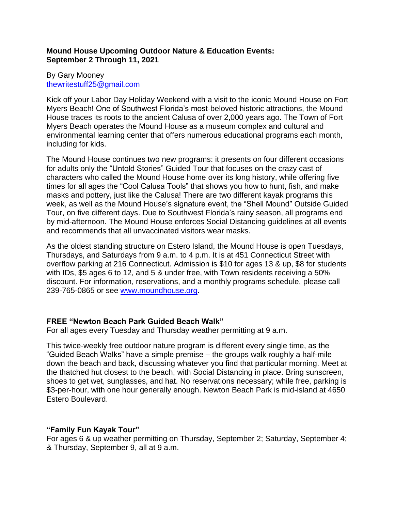# **Mound House Upcoming Outdoor Nature & Education Events: September 2 Through 11, 2021**

### By Gary Mooney [thewritestuff25@gmail.com](mailto:thewritestuff25@gmail.com)

Kick off your Labor Day Holiday Weekend with a visit to the iconic Mound House on Fort Myers Beach! One of Southwest Florida's most-beloved historic attractions, the Mound House traces its roots to the ancient Calusa of over 2,000 years ago. The Town of Fort Myers Beach operates the Mound House as a museum complex and cultural and environmental learning center that offers numerous educational programs each month, including for kids.

The Mound House continues two new programs: it presents on four different occasions for adults only the "Untold Stories" Guided Tour that focuses on the crazy cast of characters who called the Mound House home over its long history, while offering five times for all ages the "Cool Calusa Tools" that shows you how to hunt, fish, and make masks and pottery, just like the Calusa! There are two different kayak programs this week, as well as the Mound House's signature event, the "Shell Mound" Outside Guided Tour, on five different days. Due to Southwest Florida's rainy season, all programs end by mid-afternoon. The Mound House enforces Social Distancing guidelines at all events and recommends that all unvaccinated visitors wear masks.

As the oldest standing structure on Estero Island, the Mound House is open Tuesdays, Thursdays, and Saturdays from 9 a.m. to 4 p.m. It is at 451 Connecticut Street with overflow parking at 216 Connecticut. Admission is \$10 for ages 13 & up, \$8 for students with IDs, \$5 ages 6 to 12, and 5 & under free, with Town residents receiving a 50% discount. For information, reservations, and a monthly programs schedule, please call 239-765-0865 or see [www.moundhouse.org.](http://www.moundhouse.org/)

# **FREE "Newton Beach Park Guided Beach Walk"**

For all ages every Tuesday and Thursday weather permitting at 9 a.m.

This twice-weekly free outdoor nature program is different every single time, as the "Guided Beach Walks" have a simple premise – the groups walk roughly a half-mile down the beach and back, discussing whatever you find that particular morning. Meet at the thatched hut closest to the beach, with Social Distancing in place. Bring sunscreen, shoes to get wet, sunglasses, and hat. No reservations necessary; while free, parking is \$3-per-hour, with one hour generally enough. Newton Beach Park is mid-island at 4650 Estero Boulevard.

# **"Family Fun Kayak Tour"**

For ages 6 & up weather permitting on Thursday, September 2; Saturday, September 4; & Thursday, September 9, all at 9 a.m.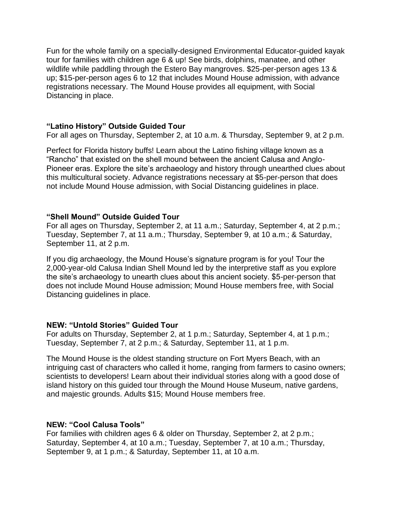Fun for the whole family on a specially-designed Environmental Educator-guided kayak tour for families with children age 6 & up! See birds, dolphins, manatee, and other wildlife while paddling through the Estero Bay mangroves. \$25-per-person ages 13 & up; \$15-per-person ages 6 to 12 that includes Mound House admission, with advance registrations necessary. The Mound House provides all equipment, with Social Distancing in place.

### **"Latino History" Outside Guided Tour**

For all ages on Thursday, September 2, at 10 a.m. & Thursday, September 9, at 2 p.m.

Perfect for Florida history buffs! Learn about the Latino fishing village known as a "Rancho" that existed on the shell mound between the ancient Calusa and Anglo-Pioneer eras. Explore the site's archaeology and history through unearthed clues about this multicultural society. Advance registrations necessary at \$5-per-person that does not include Mound House admission, with Social Distancing guidelines in place.

### **"Shell Mound" Outside Guided Tour**

For all ages on Thursday, September 2, at 11 a.m.; Saturday, September 4, at 2 p.m.; Tuesday, September 7, at 11 a.m.; Thursday, September 9, at 10 a.m.; & Saturday, September 11, at 2 p.m.

If you dig archaeology, the Mound House's signature program is for you! Tour the 2,000-year-old Calusa Indian Shell Mound led by the interpretive staff as you explore the site's archaeology to unearth clues about this ancient society. \$5-per-person that does not include Mound House admission; Mound House members free, with Social Distancing guidelines in place.

# **NEW: "Untold Stories" Guided Tour**

For adults on Thursday, September 2, at 1 p.m.; Saturday, September 4, at 1 p.m.; Tuesday, September 7, at 2 p.m.; & Saturday, September 11, at 1 p.m.

The Mound House is the oldest standing structure on Fort Myers Beach, with an intriguing cast of characters who called it home, ranging from farmers to casino owners; scientists to developers! Learn about their individual stories along with a good dose of island history on this guided tour through the Mound House Museum, native gardens, and majestic grounds. Adults \$15; Mound House members free.

# **NEW: "Cool Calusa Tools"**

For families with children ages 6 & older on Thursday, September 2, at 2 p.m.; Saturday, September 4, at 10 a.m.; Tuesday, September 7, at 10 a.m.; Thursday, September 9, at 1 p.m.; & Saturday, September 11, at 10 a.m.